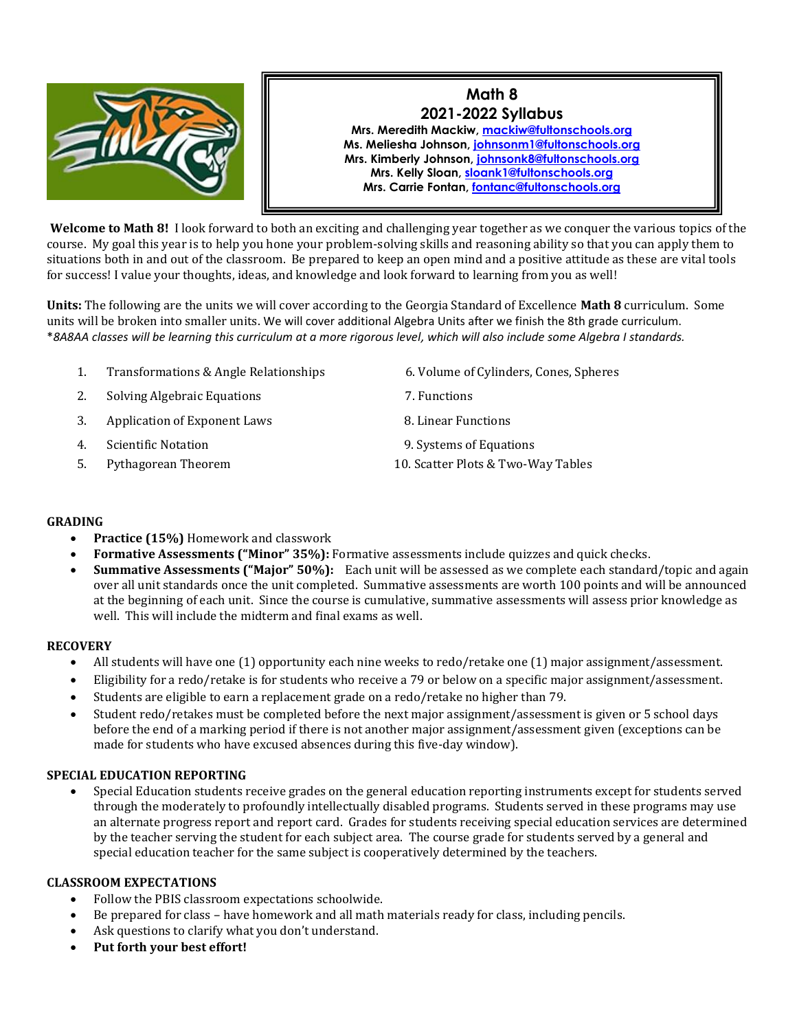

# **Math 8 2021-2022 Syllabus Mrs. Meredith Mackiw[, mackiw@fultonschools.org](mailto:mackiw@fultonschools.org) Ms. Meliesha Johnson, [johnsonm1@fultonschools.org](mailto:johnsonm1@fultonschools.org) Mrs. Kimberly Johnson, [johnsonk8@fultonschools.org](mailto:johnsonk8@fultonschools.org) Mrs. Kelly Sloan, [sloank1@fultonschools.org](mailto:sloank1@fultonschools.org) Mrs. Carrie Fontan, [fontanc@fultonschools.org](mailto:fontanc@fultonschools.org)**

**Welcome to Math 8!** I look forward to both an exciting and challenging year together as we conquer the various topics of the course. My goal this year is to help you hone your problem-solving skills and reasoning ability so that you can apply them to situations both in and out of the classroom. Be prepared to keep an open mind and a positive attitude as these are vital tools for success! I value your thoughts, ideas, and knowledge and look forward to learning from you as well!

**Units:** The following are the units we will cover according to the Georgia Standard of Excellence **Math 8** curriculum. Some units will be broken into smaller units. We will cover additional Algebra Units after we finish the 8th grade curriculum. \**8A8AA classes will be learning this curriculum at a more rigorous level, which will also include some Algebra I standards.*

- 1. Transformations & Angle Relationships 6. Volume of Cylinders, Cones, Spheres
- 2. Solving Algebraic Equations 7. Functions
- 3. Application of Exponent Laws 8. Linear Functions
- 
- 
- 
- 
- 
- 4. Scientific Notation 9. Systems of Equations
- 5. Pythagorean Theorem 10. Scatter Plots & Two-Way Tables

## **GRADING**

- **Practice (15%)** Homework and classwork
- **Formative Assessments ("Minor" 35%):** Formative assessments include quizzes and quick checks.
- **Summative Assessments ("Major" 50%):** Each unit will be assessed as we complete each standard/topic and again over all unit standards once the unit completed. Summative assessments are worth 100 points and will be announced at the beginning of each unit. Since the course is cumulative, summative assessments will assess prior knowledge as well. This will include the midterm and final exams as well.

#### **RECOVERY**

- All students will have one (1) opportunity each nine weeks to redo/retake one (1) major assignment/assessment.
- Eligibility for a redo/retake is for students who receive a 79 or below on a specific major assignment/assessment.
- Students are eligible to earn a replacement grade on a redo/retake no higher than 79.
- Student redo/retakes must be completed before the next major assignment/assessment is given or 5 school days before the end of a marking period if there is not another major assignment/assessment given (exceptions can be made for students who have excused absences during this five-day window).

# **SPECIAL EDUCATION REPORTING**

• Special Education students receive grades on the general education reporting instruments except for students served through the moderately to profoundly intellectually disabled programs. Students served in these programs may use an alternate progress report and report card. Grades for students receiving special education services are determined by the teacher serving the student for each subject area. The course grade for students served by a general and special education teacher for the same subject is cooperatively determined by the teachers.

#### **CLASSROOM EXPECTATIONS**

- Follow the PBIS classroom expectations schoolwide.
- Be prepared for class have homework and all math materials ready for class, including pencils.
- Ask questions to clarify what you don't understand.
- **Put forth your best effort!**